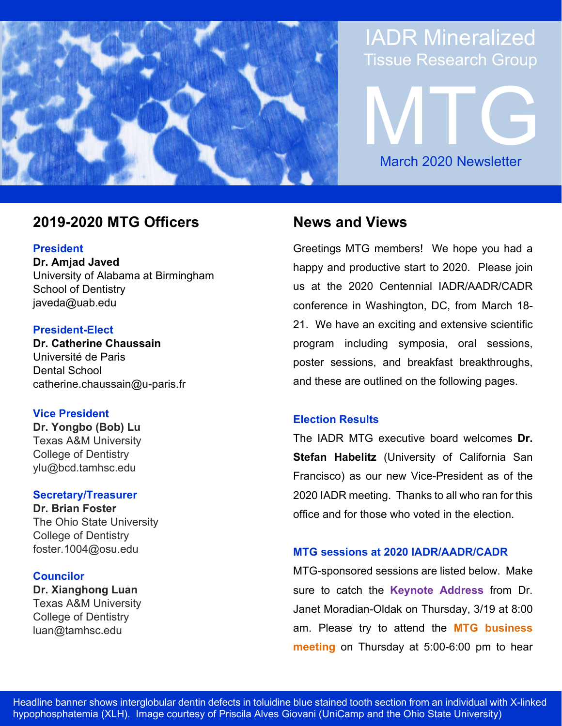

# IADR Mineralized Tissue Research Group

March 2020 Newsletter

March 2020 Newsletter

## **2019-2020 MTG Officers News and Views**

### **President**

**Dr. Amjad Javed** University of Alabama at Birmingham School of Dentistry javeda@uab.edu

### **President-Elect**

**Dr. Catherine Chaussain**  Université de Paris Dental School catherine.chaussain@u-paris.fr

### **Vice President**

**Dr. Yongbo (Bob) Lu** Texas A&M University College of Dentistry ylu@bcd.tamhsc.edu

### **Secretary/Treasurer**

**Dr. Brian Foster** The Ohio State University College of Dentistry foster.1004@osu.edu

### **Councilor**

**Dr. Xianghong Luan**  Texas A&M University College of Dentistry luan@tamhsc.edu

Greetings MTG members! We hope you had a happy and productive start to 2020. Please join us at the 2020 Centennial IADR/AADR/CADR conference in Washington, DC, from March 18- 21. We have an exciting and extensive scientific program including symposia, oral sessions, poster sessions, and breakfast breakthroughs, and these are outlined on the following pages.

### **Election Results**

The IADR MTG executive board welcomes **Dr. Stefan Habelitz** (University of California San Francisco) as our new Vice-President as of the 2020 IADR meeting. Thanks to all who ran for this office and for those who voted in the election.

### **MTG sessions at 2020 IADR/AADR/CADR**

MTG-sponsored sessions are listed below. Make sure to catch the **Keynote Address** from Dr. Janet Moradian-Oldak on Thursday, 3/19 at 8:00 am. Please try to attend the **MTG business meeting** on Thursday at 5:00-6:00 pm to hear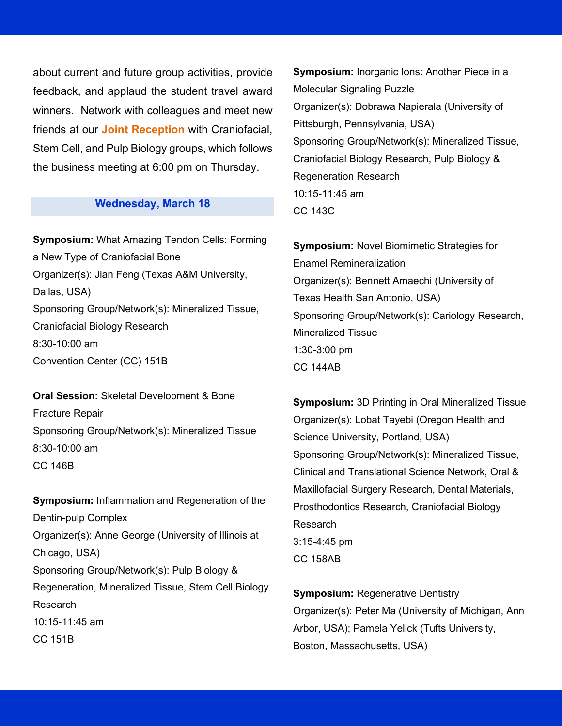about current and future group activities, provide feedback, and applaud the student travel award winners. Network with colleagues and meet new friends at our **Joint Reception** with Craniofacial, Stem Cell, and Pulp Biology groups, which follows the business meeting at 6:00 pm on Thursday.

### **Wednesday, March 18**

**Symposium:** What Amazing Tendon Cells: Forming a New Type of Craniofacial Bone Organizer(s): Jian Feng (Texas A&M University, Dallas, USA) Sponsoring Group/Network(s): Mineralized Tissue, Craniofacial Biology Research 8:30-10:00 am Convention Center (CC) 151B

**Oral Session:** Skeletal Development & Bone Fracture Repair Sponsoring Group/Network(s): Mineralized Tissue 8:30-10:00 am CC 146B

**Symposium:** Inflammation and Regeneration of the Dentin-pulp Complex Organizer(s): Anne George (University of Illinois at Chicago, USA) Sponsoring Group/Network(s): Pulp Biology & Regeneration, Mineralized Tissue, Stem Cell Biology Research 10:15-11:45 am CC 151B

**Symposium:** Inorganic Ions: Another Piece in a Molecular Signaling Puzzle Organizer(s): Dobrawa Napierala (University of Pittsburgh, Pennsylvania, USA) Sponsoring Group/Network(s): Mineralized Tissue, Craniofacial Biology Research, Pulp Biology & Regeneration Research 10:15-11:45 am CC 143C

**Symposium:** Novel Biomimetic Strategies for Enamel Remineralization Organizer(s): Bennett Amaechi (University of Texas Health San Antonio, USA) Sponsoring Group/Network(s): Cariology Research, Mineralized Tissue 1:30-3:00 pm CC 144AB

**Symposium:** 3D Printing in Oral Mineralized Tissue Organizer(s): Lobat Tayebi (Oregon Health and Science University, Portland, USA) Sponsoring Group/Network(s): Mineralized Tissue, Clinical and Translational Science Network, Oral & Maxillofacial Surgery Research, Dental Materials, Prosthodontics Research, Craniofacial Biology Research 3:15-4:45 pm CC 158AB

**Symposium:** Regenerative Dentistry Organizer(s): Peter Ma (University of Michigan, Ann Arbor, USA); Pamela Yelick (Tufts University, Boston, Massachusetts, USA)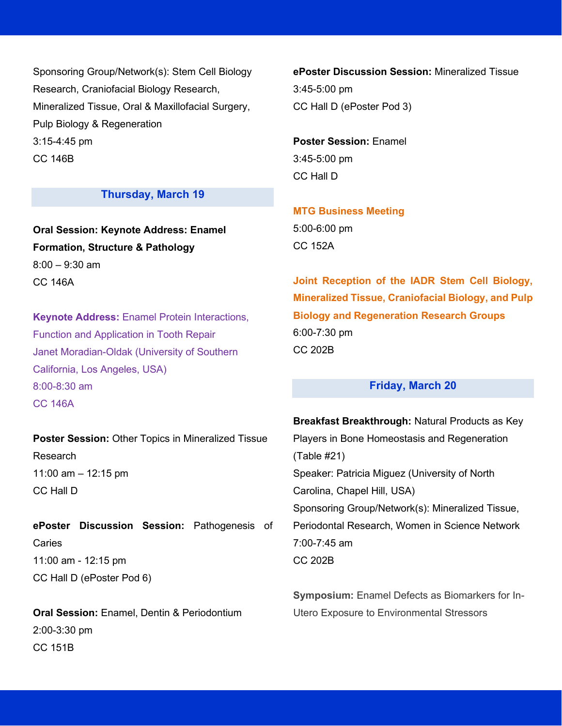Sponsoring Group/Network(s): Stem Cell Biology Research, Craniofacial Biology Research, Mineralized Tissue, Oral & Maxillofacial Surgery, Pulp Biology & Regeneration 3:15-4:45 pm CC 146B

### **Thursday, March 19**

**Oral Session: Keynote Address: Enamel Formation, Structure & Pathology**  $8:00 - 9:30$  am CC 146A

**Keynote Address:** Enamel Protein Interactions, Function and Application in Tooth Repair Janet Moradian-Oldak (University of Southern California, Los Angeles, USA) 8:00-8:30 am CC 146A

**Poster Session:** Other Topics in Mineralized Tissue Research 11:00 am – 12:15 pm CC Hall D

**ePoster Discussion Session:** Pathogenesis of **Caries** 11:00 am - 12:15 pm CC Hall D (ePoster Pod 6)

**Oral Session:** Enamel, Dentin & Periodontium 2:00-3:30 pm CC 151B

**ePoster Discussion Session:** Mineralized Tissue 3:45-5:00 pm CC Hall D (ePoster Pod 3)

**Poster Session:** Enamel 3:45-5:00 pm CC Hall D

**MTG Business Meeting** 5:00-6:00 pm CC 152A

**Joint Reception of the IADR Stem Cell Biology, Mineralized Tissue, Craniofacial Biology, and Pulp Biology and Regeneration Research Groups** 6:00-7:30 pm CC 202B

### **Friday, March 20**

**Breakfast Breakthrough:** Natural Products as Key Players in Bone Homeostasis and Regeneration (Table #21) Speaker: Patricia Miguez (University of North Carolina, Chapel Hill, USA) Sponsoring Group/Network(s): Mineralized Tissue, Periodontal Research, Women in Science Network 7:00-7:45 am CC 202B

**Symposium:** Enamel Defects as Biomarkers for In-Utero Exposure to Environmental Stressors